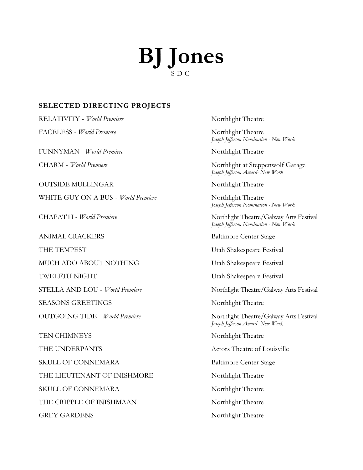## **BJ Jones** S D C

## **SELECTED DIRECTING PROJECTS**

RELATIVITY - *World Premiere* Northlight Theatre FACELESS - *World Premiere* Northlight Theatre FUNNYMAN - *World Premiere* Northlight Theatre CHARM - *World Premiere* Northlight at Steppenwolf Garage OUTSIDE MULLINGAR Northlight Theatre WHITE GUY ON A BUS - *World Premiere* Northlight Theatre CHAPATTI - *World Premiere* Northlight Theatre/Galway Arts Festival ANIMAL CRACKERS Baltimore Center Stage THE TEMPEST Utah Shakespeare Festival MUCH ADO ABOUT NOTHING Utah Shakespeare Festival TWELFTH NIGHT **Exercise Example 2018** Utah Shakespeare Festival STELLA AND LOU - *World Premiere* Northlight Theatre/Galway Arts Festival SEASONS GREETINGS Northlight Theatre TEN CHIMNEYS Northlight Theatre THE UNDERPANTS Theatre of Louisville SKULL OF CONNEMARA Baltimore Center Stage THE LIEUTENANT OF INISHMORE Northlight Theatre SKULL OF CONNEMARA Northlight Theatre THE CRIPPLE OF INISHMAAN Northlight Theatre GREY GARDENS Northlight Theatre

*Joseph Jefferson Nomination - New Work*

*Joseph Jefferson Award- New Work*

*Joseph Jefferson Nomination - New Work*

*Joseph Jefferson Nomination - New Work*

OUTGOING TIDE - *World Premiere* Northlight Theatre/Galway Arts Festival *Joseph Jefferson Award- New Work*